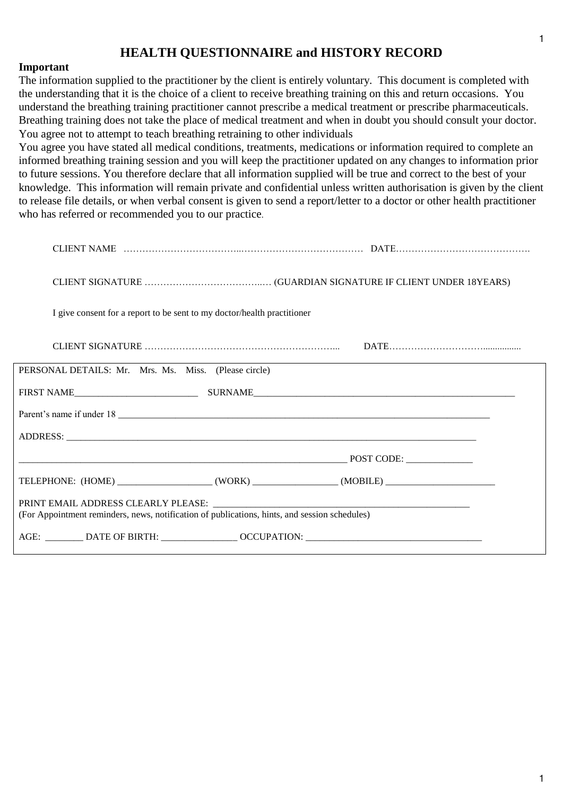# **HEALTH QUESTIONNAIRE and HISTORY RECORD**

#### **Important**

The information supplied to the practitioner by the client is entirely voluntary. This document is completed with the understanding that it is the choice of a client to receive breathing training on this and return occasions. You understand the breathing training practitioner cannot prescribe a medical treatment or prescribe pharmaceuticals. Breathing training does not take the place of medical treatment and when in doubt you should consult your doctor. You agree not to attempt to teach breathing retraining to other individuals

You agree you have stated all medical conditions, treatments, medications or information required to complete an informed breathing training session and you will keep the practitioner updated on any changes to information prior to future sessions. You therefore declare that all information supplied will be true and correct to the best of your knowledge. This information will remain private and confidential unless written authorisation is given by the client to release file details, or when verbal consent is given to send a report/letter to a doctor or other health practitioner who has referred or recommended you to our practice.

| I give consent for a report to be sent to my doctor/health practitioner                             |  |
|-----------------------------------------------------------------------------------------------------|--|
|                                                                                                     |  |
| PERSONAL DETAILS: Mr. Mrs. Ms. Miss. (Please circle)                                                |  |
|                                                                                                     |  |
|                                                                                                     |  |
|                                                                                                     |  |
|                                                                                                     |  |
| TELEPHONE: (HOME) ________________________(WORK) _________________(MOBILE) ________________________ |  |
| (For Appointment reminders, news, notification of publications, hints, and session schedules)       |  |
|                                                                                                     |  |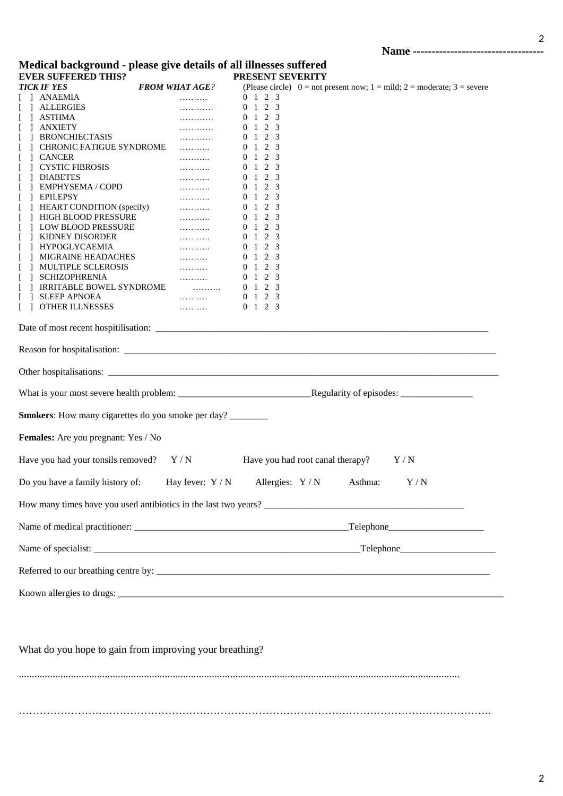2

### **Medical background - please give details of all illnesses suffered EVER SUFFERED THIS? PRESENT SEVERITY**

| еуек эсггекер тицэ.<br><b>TICK IF YES</b>                                            | <b>FROM WHAT AGE?</b>                          | (Please circle) $0 = not present now$ ; $1 = mild$ ; $2 = moderate$ ; $3 = severe$ |  |  |  |
|--------------------------------------------------------------------------------------|------------------------------------------------|------------------------------------------------------------------------------------|--|--|--|
| ANAEMIA                                                                              | .                                              | 0 1 2 3                                                                            |  |  |  |
| <b>ALLERGIES</b>                                                                     | .                                              | $0 \t1 \t2 \t3$                                                                    |  |  |  |
| ] ASTHMA                                                                             | .                                              | $0 \t1 \t2 \t3$                                                                    |  |  |  |
| <b>ANXIETY</b>                                                                       | .                                              | $0 \t1 \t2 \t3$                                                                    |  |  |  |
|                                                                                      |                                                |                                                                                    |  |  |  |
| <b>BRONCHIECTASIS</b>                                                                | .                                              | $0 \t1 \t2 \t3$<br>$0 \t1 \t2 \t3$                                                 |  |  |  |
| CHRONIC FATIGUE SYNDROME                                                             | .                                              |                                                                                    |  |  |  |
| ] CANCER                                                                             | .                                              | $0 \t1 \t2 \t3$                                                                    |  |  |  |
| <b>TELES EXECUTES</b> CYSTIC FIBROSIS                                                | .                                              | $0 \t1 \t2 \t3$                                                                    |  |  |  |
| <b>DIABETES</b>                                                                      | .                                              | $0 \t1 \t2 \t3$                                                                    |  |  |  |
| <b>EMPHYSEMA / COPD</b>                                                              | .                                              | 0 1 2 3                                                                            |  |  |  |
| <b>FPILEPSY</b>                                                                      | $\cdots \cdots$                                | $0 \t1 \t2 \t3$                                                                    |  |  |  |
| ] HEART CONDITION (specify)                                                          | .                                              | $0 \t1 \t2 \t3$                                                                    |  |  |  |
| [ ] HIGH BLOOD PRESSURE                                                              | $\cdots \cdots$                                | $0 \t1 \t2 \t3$                                                                    |  |  |  |
| 1 LOW BLOOD PRESSURE                                                                 | .                                              | 0 1 2 3                                                                            |  |  |  |
| <b>J KIDNEY DISORDER</b>                                                             | .                                              | $0 \t1 \t2 \t3$                                                                    |  |  |  |
| HYPOGLYCAEMIA                                                                        | .                                              | $0 \t1 \t2 \t3$                                                                    |  |  |  |
| MIGRAINE HEADACHES<br>$\mathbf{1}$                                                   |                                                | $0 \t1 \t2 \t3$                                                                    |  |  |  |
| <b>MULTIPLE SCLEROSIS</b>                                                            | $\ldots \ldots \ldots$                         | 0 1 2 3                                                                            |  |  |  |
| ] SCHIZOPHRENIA                                                                      | $\ldots \ldots \ldots$                         | $0 \t1 \t2 \t3$                                                                    |  |  |  |
| ] IRRITABLE BOWEL SYNDROME                                                           | $\mathcal{L} = \{1, 2, \ldots, 2, \ldots, n\}$ | $0 \t1 \t2 \t3$                                                                    |  |  |  |
| [ ] SLEEP APNOEA                                                                     | المستنبذة                                      | $0 \t1 \t2 \t3$                                                                    |  |  |  |
| [ ] OTHER ILLNESSES                                                                  | .                                              | $0 \t1 \t2 \t3$                                                                    |  |  |  |
|                                                                                      |                                                |                                                                                    |  |  |  |
|                                                                                      |                                                |                                                                                    |  |  |  |
| <b>Smokers:</b> How many cigarettes do you smoke per day?                            |                                                |                                                                                    |  |  |  |
| Females: Are you pregnant: Yes / No                                                  |                                                |                                                                                    |  |  |  |
| Y/N<br>Have you had your tonsils removed?<br>Have you had root canal therapy?<br>Y/N |                                                |                                                                                    |  |  |  |
| Do you have a family history of:                                                     |                                                | Hay fever: $Y/N$ Allergies: $Y/N$<br>Asthma:<br>Y/N                                |  |  |  |
|                                                                                      |                                                |                                                                                    |  |  |  |
|                                                                                      |                                                |                                                                                    |  |  |  |
|                                                                                      |                                                |                                                                                    |  |  |  |
|                                                                                      |                                                |                                                                                    |  |  |  |
|                                                                                      |                                                |                                                                                    |  |  |  |

What do you hope to gain from improving your breathing?

......................................................................................................................................................................... ……………………………………………………………………………………………………………………….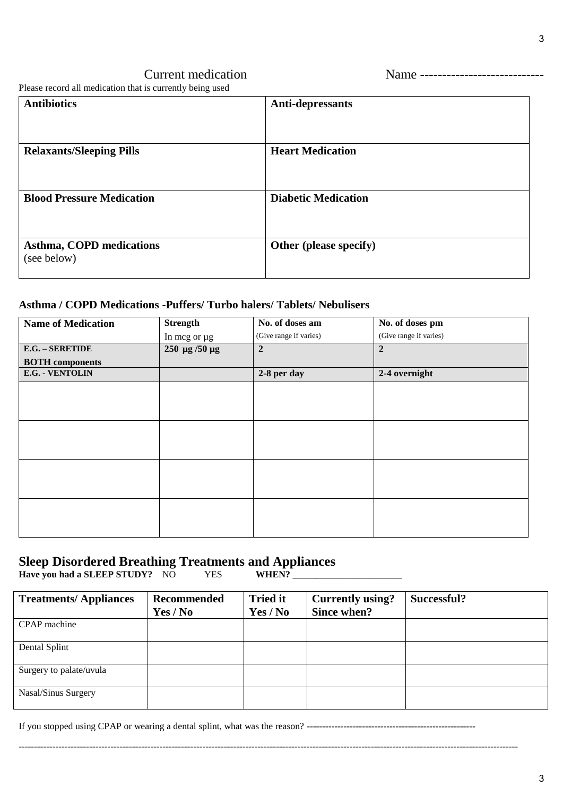# Current medication Name ----------------------------

Please record all medication that is currently being used

| <b>Antibiotics</b>                             | Anti-depressants           |
|------------------------------------------------|----------------------------|
| <b>Relaxants/Sleeping Pills</b>                | <b>Heart Medication</b>    |
|                                                |                            |
| <b>Blood Pressure Medication</b>               | <b>Diabetic Medication</b> |
| <b>Asthma, COPD medications</b><br>(see below) | Other (please specify)     |

### **Asthma / COPD Medications -Puffers/ Turbo halers/ Tablets/ Nebulisers**

| <b>Name of Medication</b> | <b>Strength</b> | No. of doses am        | No. of doses pm        |
|---------------------------|-----------------|------------------------|------------------------|
|                           | In mcg or µg    | (Give range if varies) | (Give range if varies) |
| E.G. - SERETIDE           | 250 μg /50 μg   | $\overline{2}$         | $\overline{2}$         |
| <b>BOTH</b> components    |                 |                        |                        |
| E.G. - VENTOLIN           |                 | 2-8 per day            | 2-4 overnight          |
|                           |                 |                        |                        |
|                           |                 |                        |                        |
|                           |                 |                        |                        |
|                           |                 |                        |                        |
|                           |                 |                        |                        |
|                           |                 |                        |                        |
|                           |                 |                        |                        |
|                           |                 |                        |                        |
|                           |                 |                        |                        |
|                           |                 |                        |                        |
|                           |                 |                        |                        |
|                           |                 |                        |                        |

# **Sleep Disordered Breathing Treatments and Appliances**

**Have you had a SLEEP STUDY?** NO YES **WHEN?** \_\_\_\_\_\_\_\_\_\_\_\_\_\_\_\_\_\_\_\_\_\_\_

| <b>Treatments/Appliances</b> | Recommended<br>Yes / No | <b>Tried it</b><br>Yes / No | <b>Currently using?</b><br>Since when? | Successful? |
|------------------------------|-------------------------|-----------------------------|----------------------------------------|-------------|
| CPAP machine                 |                         |                             |                                        |             |
| Dental Splint                |                         |                             |                                        |             |
| Surgery to palate/uvula      |                         |                             |                                        |             |
| Nasal/Sinus Surgery          |                         |                             |                                        |             |

If you stopped using CPAP or wearing a dental splint, what was the reason? -------------------------------------------------------

-------------------------------------------------------------------------------------------------------------------------------------------------------------------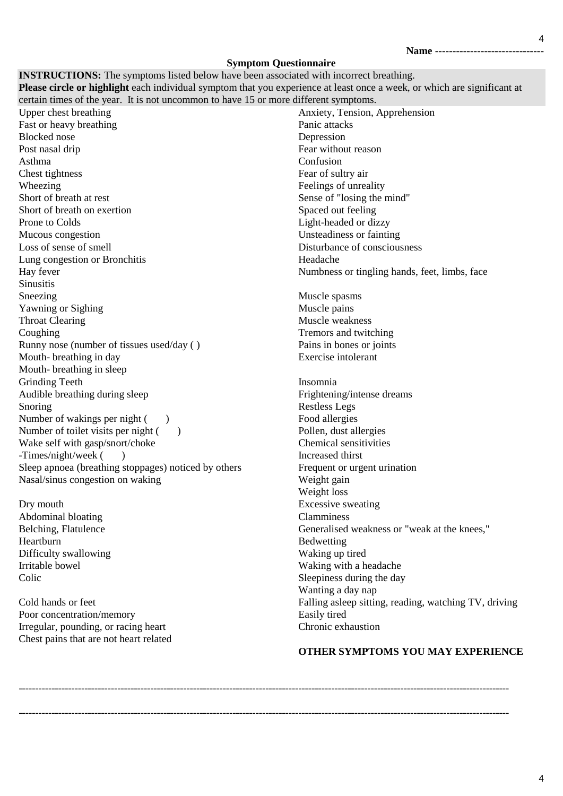**Name -------------------------------**

4

#### **Symptom Questionnaire**

| <b>INSTRUCTIONS:</b> The symptoms listed below have been associated with incorrect breathing.                            |                                                       |
|--------------------------------------------------------------------------------------------------------------------------|-------------------------------------------------------|
| Please circle or highlight each individual symptom that you experience at least once a week, or which are significant at |                                                       |
| certain times of the year. It is not uncommon to have 15 or more different symptoms.                                     |                                                       |
| Upper chest breathing                                                                                                    | Anxiety, Tension, Apprehension                        |
| Fast or heavy breathing                                                                                                  | Panic attacks                                         |
| <b>Blocked</b> nose                                                                                                      | Depression                                            |
| Post nasal drip                                                                                                          | Fear without reason                                   |
| Asthma                                                                                                                   | Confusion                                             |
| Chest tightness                                                                                                          | Fear of sultry air                                    |
| Wheezing                                                                                                                 | Feelings of unreality                                 |
| Short of breath at rest                                                                                                  | Sense of "losing the mind"                            |
| Short of breath on exertion                                                                                              | Spaced out feeling                                    |
| Prone to Colds                                                                                                           | Light-headed or dizzy                                 |
| Mucous congestion                                                                                                        | Unsteadiness or fainting                              |
| Loss of sense of smell                                                                                                   | Disturbance of consciousness                          |
| Lung congestion or Bronchitis                                                                                            | Headache                                              |
| Hay fever                                                                                                                | Numbness or tingling hands, feet, limbs, face         |
| Sinusitis                                                                                                                |                                                       |
| Sneezing                                                                                                                 | Muscle spasms                                         |
| Yawning or Sighing                                                                                                       | Muscle pains                                          |
| <b>Throat Clearing</b>                                                                                                   | Muscle weakness                                       |
| Coughing                                                                                                                 | Tremors and twitching                                 |
| Runny nose (number of tissues used/day ()                                                                                | Pains in bones or joints                              |
| Mouth-breathing in day                                                                                                   | Exercise intolerant                                   |
| Mouth-breathing in sleep                                                                                                 |                                                       |
| <b>Grinding Teeth</b>                                                                                                    | Insomnia                                              |
| Audible breathing during sleep                                                                                           | Frightening/intense dreams                            |
| Snoring                                                                                                                  | <b>Restless Legs</b>                                  |
| Number of wakings per night (                                                                                            | Food allergies                                        |
| Number of toilet visits per night (<br>$\rightarrow$                                                                     | Pollen, dust allergies                                |
| Wake self with gasp/snort/choke                                                                                          | Chemical sensitivities                                |
| -Times/night/week (                                                                                                      | Increased thirst                                      |
| Sleep apnoea (breathing stoppages) noticed by others                                                                     | Frequent or urgent urination                          |
| Nasal/sinus congestion on waking                                                                                         | Weight gain                                           |
|                                                                                                                          | Weight loss                                           |
| Dry mouth                                                                                                                | <b>Excessive sweating</b>                             |
| Abdominal bloating                                                                                                       | Clamminess                                            |
| Belching, Flatulence                                                                                                     | Generalised weakness or "weak at the knees,"          |
| Heartburn                                                                                                                | Bedwetting                                            |
| Difficulty swallowing                                                                                                    | Waking up tired                                       |
| Irritable bowel                                                                                                          | Waking with a headache                                |
| Colic                                                                                                                    | Sleepiness during the day                             |
|                                                                                                                          | Wanting a day nap                                     |
| Cold hands or feet                                                                                                       | Falling asleep sitting, reading, watching TV, driving |
| Poor concentration/memory                                                                                                | Easily tired                                          |

Poor concentration/memory Irregular, pounding, or racing heart Chest pains that are not heart related

# **OTHER SYMPTOMS YOU MAY EXPERIENCE**

Chronic exhaustion

-----------------------------------------------------------------------------------------------------------------------------------------------------

-----------------------------------------------------------------------------------------------------------------------------------------------------